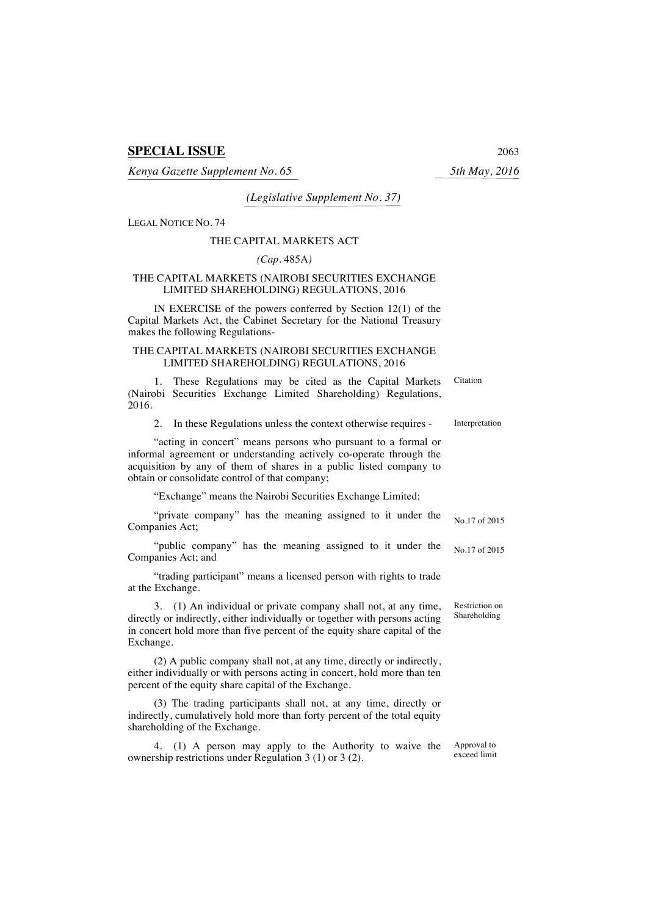# **SPECIAL ISSUE** 2063

*Kenya Gazette Supplement No. 65 5th May, 2016*

## *(Legislative Supplement No. 37)*

LEGAL NOTICE NO. 74

#### THE CAPITAL MARKETS ACT

#### *(Cap.* 485A*)*

### THE CAPITAL MARKETS (NAIROBI SECURITIES EXCHANGE LIMITED SHAREHOLDING) REGULATIONS, 2016

IN EXERCISE of the powers conferred by Section 12(1) of the Capital Markets Act, the Cabinet Secretary for the National Treasury makes the following Regulations-

### THE CAPITAL MARKETS (NAIROBI SECURITIES EXCHANGE LIMITED SHAREHOLDING) REGULATIONS, 2016

1. These Regulations may be cited as the Capital Markets (Nairobi Securities Exchange Limited Shareholding) Regulations, 2016. **Citation** 

2. In these Regulations unless the context otherwise requires - Interpretation

"acting in concert" means persons who pursuant to a formal or informal agreement or understanding actively co-operate through the acquisition by any of them of shares in a public listed company to obtain or consolidate control of that company;

"Exchange" means the Nairobi Securities Exchange Limited;

| "private company" has the meaning assigned to it under the |  |  |  | No.17 of 2015 |
|------------------------------------------------------------|--|--|--|---------------|
| Companies Act;                                             |  |  |  |               |

"public company" has the meaning assigned to it under the Companies Act; and No.17 of 2015

"trading participant" means a licensed person with rights to trade at the Exchange.

3. (1) An individual or private company shall not, at any time, directly or indirectly, either individually or together with persons acting in concert hold more than five percent of the equity share capital of the Exchange. Restriction on Shareholding

(2) A public company shall not, at any time, directly or indirectly, either individually or with persons acting in concert, hold more than ten percent of the equity share capital of the Exchange.

(3) The trading participants shall not, at any time, directly or indirectly, cumulatively hold more than forty percent of the total equity shareholding of the Exchange.

4. (1) A person may apply to the Authority to waive the ownership restrictions under Regulation 3 (1) or 3 (2). Approval to exceed limit